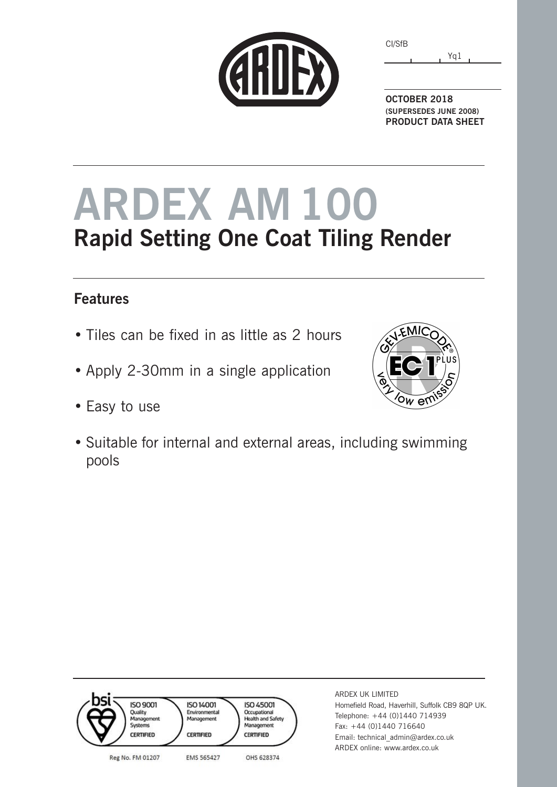| ESSERIES |
|----------|
|          |
|          |
|          |

Yq1 CI/SfB

**OCTOBER 2018 (SUPERSEDES JUNE 2008) PRODUCT DATA SHEET**

# **ARDEX AM100 Rapid Setting One Coat Tiling Render**

### **Features**

- Tiles can be fixed in as little as 2 hours
- Apply 2-30mm in a single application
- Easy to use





ARDEX UK LIMITED Homefield Road, Haverhill, Suffolk CB9 8QP UK. Telephone: +44 (0)1440 714939 Fax: +44 (0)1440 716640 Email: technical\_admin@ardex.co.uk ARDEX online: www.ardex.co.uk

EMIC  $\overline{\text{ow}}$  ev